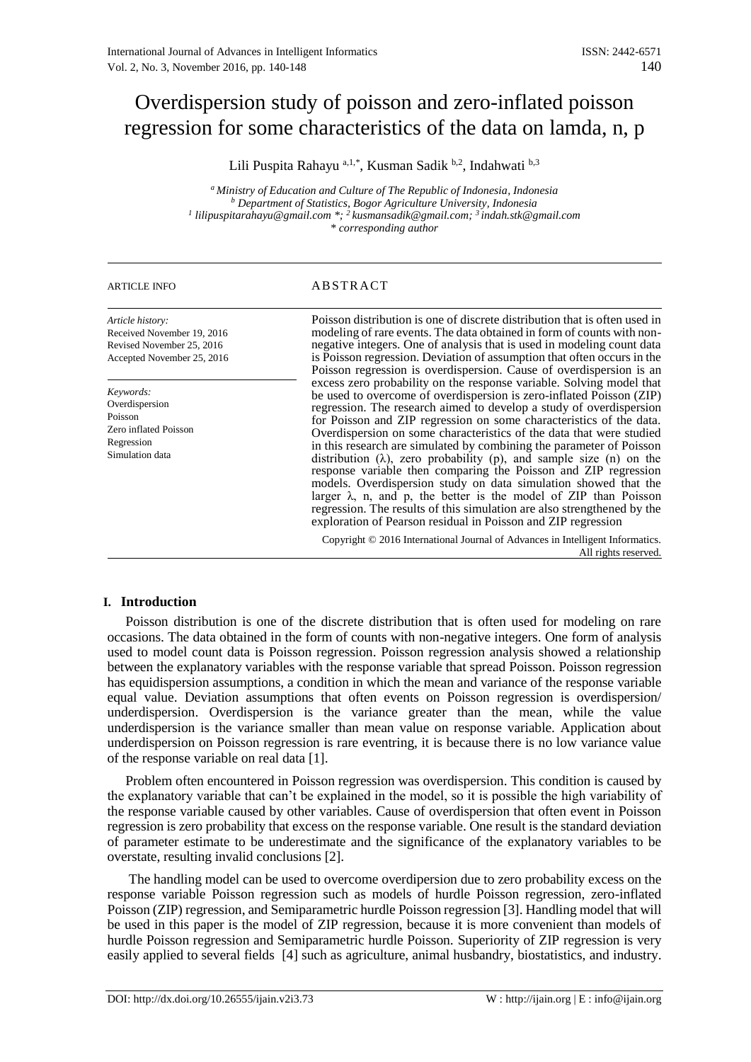# Overdispersion study of poisson and zero-inflated poisson regression for some characteristics of the data on lamda, n, p

Lili Puspita Rahayu <sup>a,1,\*</sup>, Kusman Sadik <sup>b,2</sup>, Indahwati <sup>b,3</sup>

*<sup>a</sup> Ministry of Education and Culture of The Republic of Indonesia, Indonesia <sup>b</sup> Department of Statistics, Bogor Agriculture University, Indonesia 1 lilipuspitarahayu@gmail.com \*; <sup>2</sup>kusmansadik@gmail.com; <sup>3</sup>indah.stk@gmail.com \* corresponding author*

# ARTICLE INFO ABSTRACT

*Article history:* Received November 19, 2016 Revised November 25, 2016 Accepted November 25, 2016

*Keywords:* Overdispersion Poisson Zero inflated Poisson Regression Simulation data

Poisson distribution is one of discrete distribution that is often used in modeling of rare events. The data obtained in form of counts with nonnegative integers. One of analysis that is used in modeling count data is Poisson regression. Deviation of assumption that often occurs in the Poisson regression is overdispersion. Cause of overdispersion is an excess zero probability on the response variable. Solving model that be used to overcome of overdispersion is zero-inflated Poisson (ZIP) regression. The research aimed to develop a study of overdispersion for Poisson and ZIP regression on some characteristics of the data. Overdispersion on some characteristics of the data that were studied in this research are simulated by combining the parameter of Poisson distribution  $(\lambda)$ , zero probability  $(p)$ , and sample size  $(n)$  on the response variable then comparing the Poisson and ZIP regression models. Overdispersion study on data simulation showed that the larger  $\lambda$ , n, and p, the better is the model of ZIP than Poisson regression. The results of this simulation are also strengthened by the exploration of Pearson residual in Poisson and ZIP regression

Copyright © 2016 International Journal of Advances in Intelligent Informatics. All rights reserved.

# **I. Introduction**

Poisson distribution is one of the discrete distribution that is often used for modeling on rare occasions. The data obtained in the form of counts with non-negative integers. One form of analysis used to model count data is Poisson regression. Poisson regression analysis showed a relationship between the explanatory variables with the response variable that spread Poisson. Poisson regression has equidispersion assumptions, a condition in which the mean and variance of the response variable equal value. Deviation assumptions that often events on Poisson regression is overdispersion/ underdispersion. Overdispersion is the variance greater than the mean, while the value underdispersion is the variance smaller than mean value on response variable. Application about underdispersion on Poisson regression is rare eventring, it is because there is no low variance value of the response variable on real data [1].

Problem often encountered in Poisson regression was overdispersion. This condition is caused by the explanatory variable that can't be explained in the model, so it is possible the high variability of the response variable caused by other variables. Cause of overdispersion that often event in Poisson regression is zero probability that excess on the response variable. One result is the standard deviation of parameter estimate to be underestimate and the significance of the explanatory variables to be overstate, resulting invalid conclusions [2].

The handling model can be used to overcome overdipersion due to zero probability excess on the response variable Poisson regression such as models of hurdle Poisson regression, zero-inflated Poisson (ZIP) regression, and Semiparametric hurdle Poisson regression [3]. Handling model that will be used in this paper is the model of ZIP regression, because it is more convenient than models of hurdle Poisson regression and Semiparametric hurdle Poisson. Superiority of ZIP regression is very easily applied to several fields [4] such as agriculture, animal husbandry, biostatistics, and industry.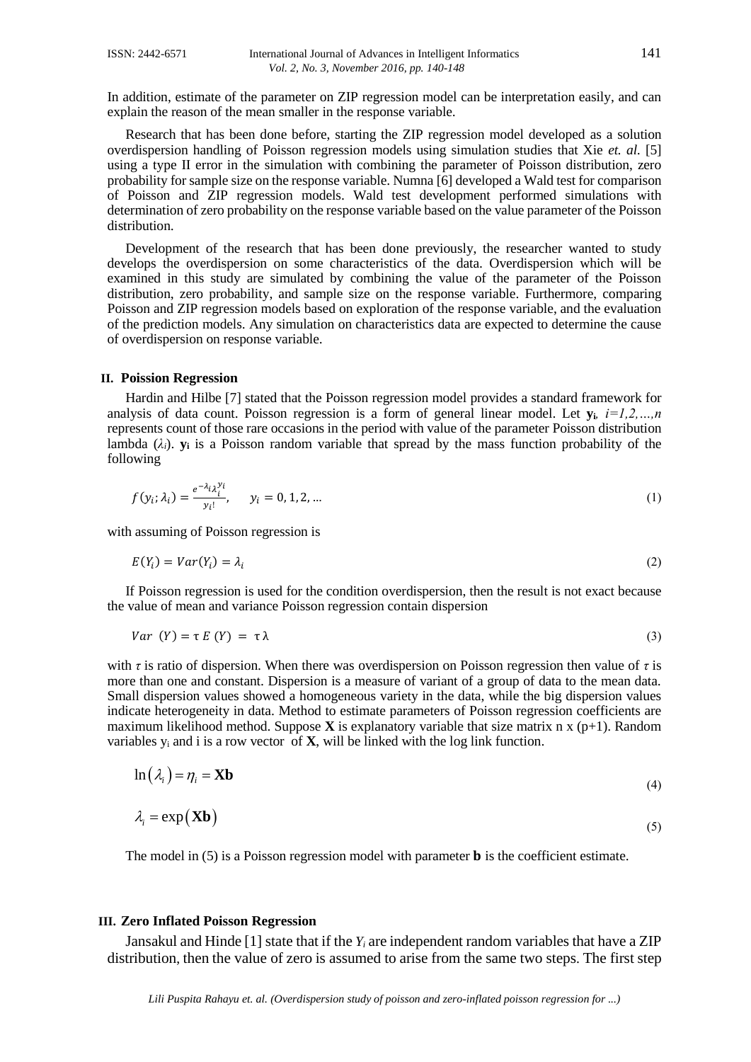In addition, estimate of the parameter on ZIP regression model can be interpretation easily, and can explain the reason of the mean smaller in the response variable.

Research that has been done before, starting the ZIP regression model developed as a solution overdispersion handling of Poisson regression models using simulation studies that Xie *et. al.* [5] using a type II error in the simulation with combining the parameter of Poisson distribution, zero probability for sample size on the response variable. Numna [6] developed a Wald test for comparison of Poisson and ZIP regression models. Wald test development performed simulations with determination of zero probability on the response variable based on the value parameter of the Poisson distribution.

Development of the research that has been done previously, the researcher wanted to study develops the overdispersion on some characteristics of the data. Overdispersion which will be examined in this study are simulated by combining the value of the parameter of the Poisson distribution, zero probability, and sample size on the response variable. Furthermore, comparing Poisson and ZIP regression models based on exploration of the response variable, and the evaluation of the prediction models. Any simulation on characteristics data are expected to determine the cause of overdispersion on response variable.

#### **II. Poission Regression**

Hardin and Hilbe [7] stated that the Poisson regression model provides a standard framework for analysis of data count. Poisson regression is a form of general linear model. Let  $\mathbf{v}_i$ ,  $i=1,2,...,n$ represents count of those rare occasions in the period with value of the parameter Poisson distribution lambda  $(\lambda_i)$ . **y**<sub>i</sub> is a Poisson random variable that spread by the mass function probability of the following

$$
f(y_i; \lambda_i) = \frac{e^{-\lambda_i} \lambda_i^{y_i}}{y_i!}, \qquad y_i = 0, 1, 2, \dots
$$
 (1)

with assuming of Poisson regression is

$$
E(Y_i) = Var(Y_i) = \lambda_i
$$
\n<sup>(2)</sup>

If Poisson regression is used for the condition overdispersion, then the result is not exact because the value of mean and variance Poisson regression contain dispersion

$$
Var(Y) = \tau E(Y) = \tau \lambda
$$
\n(3)

with *τ* is ratio of dispersion. When there was overdispersion on Poisson regression then value of *τ* is more than one and constant. Dispersion is a measure of variant of a group of data to the mean data. Small dispersion values showed a homogeneous variety in the data, while the big dispersion values indicate heterogeneity in data. Method to estimate parameters of Poisson regression coefficients are maximum likelihood method. Suppose **X** is explanatory variable that size matrix n x  $(p+1)$ . Random variables y<sup>i</sup> and i is a row vector of **X**, will be linked with the log link function.

$$
\ln(\lambda_i) = \eta_i = \mathbf{Xb} \tag{4}
$$

$$
\lambda_i = \exp(\mathbf{X}\mathbf{b}) \tag{5}
$$

The model in  $(5)$  is a Poisson regression model with parameter **b** is the coefficient estimate.

#### **III. Zero Inflated Poisson Regression**

Jansakul and Hinde [1] state that if the *Y<sup>i</sup>* are independent random variables that have a ZIP distribution, then the value of zero is assumed to arise from the same two steps. The first step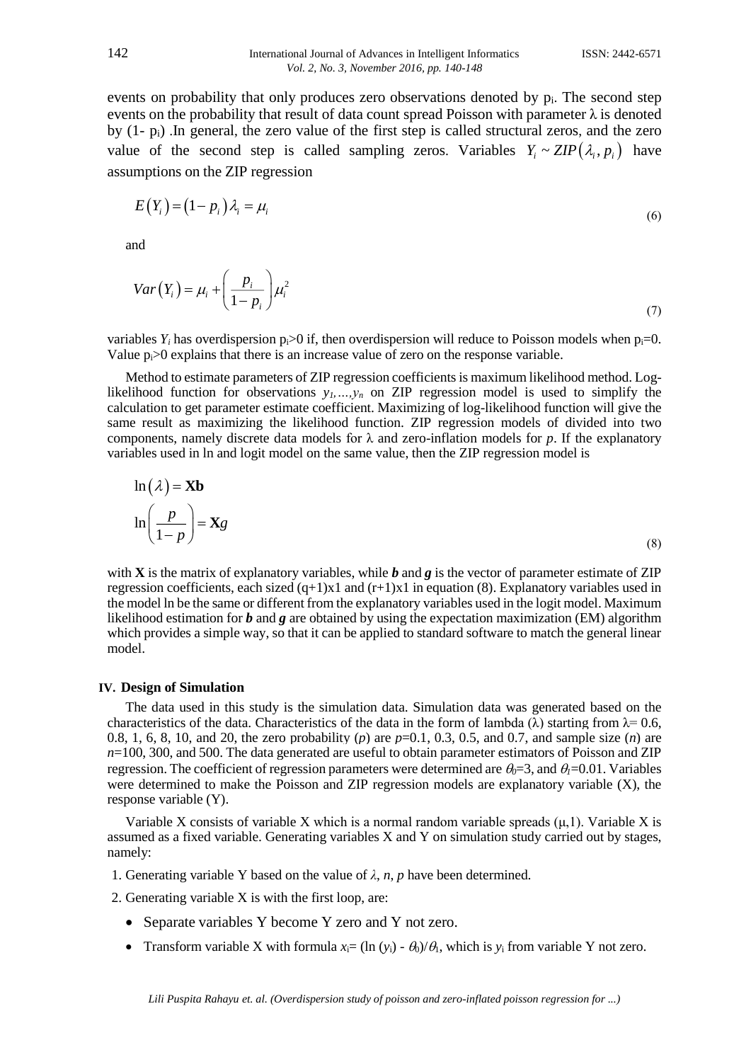events on probability that only produces zero observations denoted by  $p_i$ . The second step events on the probability that result of data count spread Poisson with parameter  $\lambda$  is denoted by (1- pi) .In general, the zero value of the first step is called structural zeros, and the zero value of the second step is called sampling zeros. Variables  $Y_i \sim ZIP(\lambda_i, p_i)$  have assumptions on the ZIP regression

$$
E(Y_i) = (1 - p_i) \lambda_i = \mu_i \tag{6}
$$

and

$$
Var(Y_i) = \mu_i + \left(\frac{p_i}{1 - p_i}\right)\mu_i^2
$$
\n(7)

variables  $Y_i$  has overdispersion  $p_i>0$  if, then overdispersion will reduce to Poisson models when  $p_i=0$ . Value  $p_i>0$  explains that there is an increase value of zero on the response variable.

Method to estimate parameters of ZIP regression coefficients is maximum likelihood method. Loglikelihood function for observations  $y_1, \ldots, y_n$  on ZIP regression model is used to simplify the calculation to get parameter estimate coefficient. Maximizing of log-likelihood function will give the same result as maximizing the likelihood function. ZIP regression models of divided into two components, namely discrete data models for  $\lambda$  and zero-inflation models for p. If the explanatory variables used in ln and logit model on the same value, then the ZIP regression model is

$$
\ln(\lambda) = \mathbf{Xb}
$$
  

$$
\ln\left(\frac{p}{1-p}\right) = \mathbf{Xg}
$$
 (8)

with **X** is the matrix of explanatory variables, while *b* and *g* is the vector of parameter estimate of ZIP regression coefficients, each sized  $(q+1)x1$  and  $(r+1)x1$  in equation (8). Explanatory variables used in the model ln be the same or different from the explanatory variables used in the logit model. Maximum likelihood estimation for *b* and *g* are obtained by using the expectation maximization (EM) algorithm which provides a simple way, so that it can be applied to standard software to match the general linear model.

## **IV. Design of Simulation**

The data used in this study is the simulation data. Simulation data was generated based on the characteristics of the data. Characteristics of the data in the form of lambda  $(\lambda)$  starting from  $\lambda = 0.6$ , 0.8, 1, 6, 8, 10, and 20, the zero probability (*p*) are *p*=0.1, 0.3, 0.5, and 0.7, and sample size (*n*) are *n*=100, 300, and 500. The data generated are useful to obtain parameter estimators of Poisson and ZIP regression. The coefficient of regression parameters were determined are  $\theta_0 = 3$ , and  $\theta_1 = 0.01$ . Variables were determined to make the Poisson and ZIP regression models are explanatory variable (X), the response variable (Y).

Variable X consists of variable X which is a normal random variable spreads  $(\mu, 1)$ . Variable X is assumed as a fixed variable. Generating variables X and Y on simulation study carried out by stages, namely:

- 1. Generating variable Y based on the value of  $\lambda$ ,  $n$ ,  $p$  have been determined.
- 2. Generating variable X is with the first loop, are:
	- Separate variables Y become Y zero and Y not zero.
	- Transform variable X with formula  $x_i = (\ln(y_i) \theta_0)/\theta_1$ , which is  $y_i$  from variable Y not zero.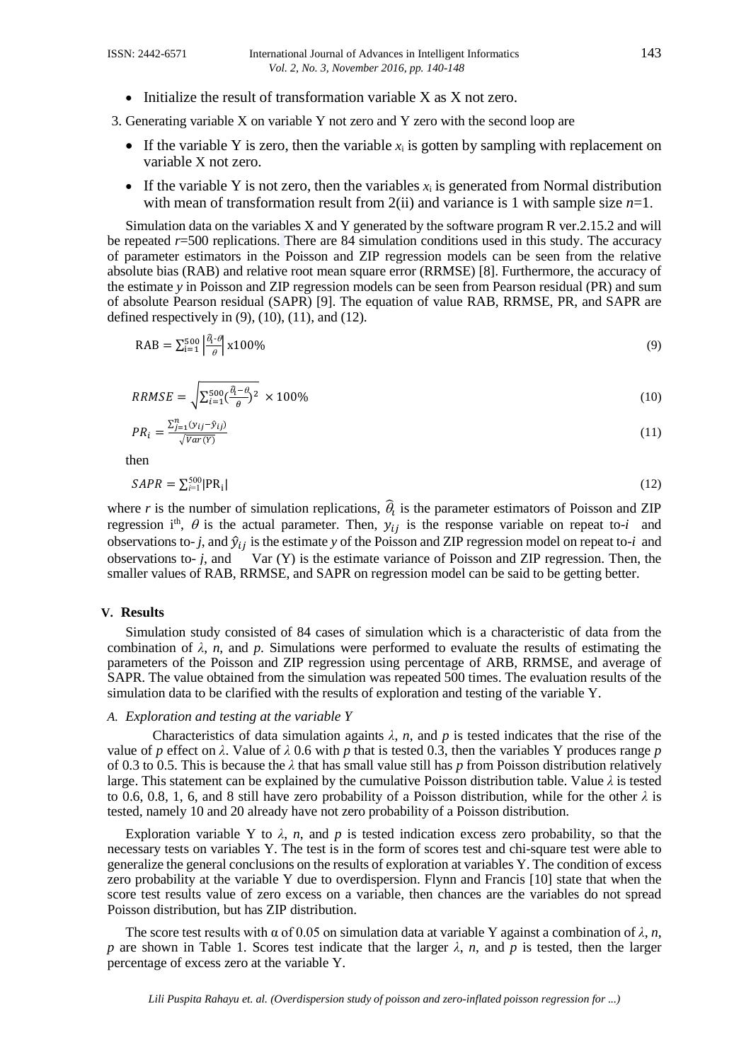$\bullet$  Initialize the result of transformation variable X as X not zero.

3. Generating variable X on variable Y not zero and Y zero with the second loop are

- If the variable Y is zero, then the variable  $x_i$  is gotten by sampling with replacement on variable X not zero.
- If the variable Y is not zero, then the variables  $x_i$  is generated from Normal distribution with mean of transformation result from  $2(ii)$  and variance is 1 with sample size  $n=1$ .

Simulation data on the variables X and Y generated by the software program R ver.2.15.2 and will be repeated *r*=500 replications. There are 84 simulation conditions used in this study. The accuracy of parameter estimators in the Poisson and ZIP regression models can be seen from the relative absolute bias (RAB) and relative root mean square error (RRMSE) [8]. Furthermore, the accuracy of the estimate *y* in Poisson and ZIP regression models can be seen from Pearson residual (PR) and sum of absolute Pearson residual (SAPR) [9]. The equation of value RAB, RRMSE, PR, and SAPR are defined respectively in  $(9)$ ,  $(10)$ ,  $(11)$ , and  $(12)$ .

$$
\text{RAB} = \sum_{i=1}^{500} \left| \frac{\hat{\theta}_i - \theta}{\theta} \right| \times 100\%
$$
\n<sup>(9)</sup>

$$
RRMSE = \sqrt{\sum_{i=1}^{500} (\frac{\hat{\theta}_i - \theta}{\theta})^2} \times 100\%
$$
\n(10)

$$
PR_i = \frac{\sum_{j=1}^{n} (y_{ij} - \hat{y}_{ij})}{\sqrt{Var(Y)}}\tag{11}
$$

then

$$
SAPR = \sum_{i=1}^{500} |PR_i| \tag{12}
$$

where r is the number of simulation replications,  $\hat{\theta}_t$  is the parameter estimators of Poisson and ZIP regression i<sup>th</sup>,  $\theta$  is the actual parameter. Then,  $y_{ij}$  is the response variable on repeat to-*i* and observations to- *j*, and  $\hat{y}_{ij}$  is the estimate *y* of the Poisson and ZIP regression model on repeat to-*i* and observations to-  $j$ , and Var  $(Y)$  is the estimate variance of Poisson and ZIP regression. Then, the smaller values of RAB, RRMSE, and SAPR on regression model can be said to be getting better.

## **V. Results**

Simulation study consisted of 84 cases of simulation which is a characteristic of data from the combination of  $\lambda$ , *n*, and *p*. Simulations were performed to evaluate the results of estimating the parameters of the Poisson and ZIP regression using percentage of ARB, RRMSE, and average of SAPR. The value obtained from the simulation was repeated 500 times. The evaluation results of the simulation data to be clarified with the results of exploration and testing of the variable Y.

#### *A. Exploration and testing at the variable Y*

Characteristics of data simulation againts  $\lambda$ ,  $n$ , and  $p$  is tested indicates that the rise of the value of *p* effect on  $\lambda$ . Value of  $\lambda$  0.6 with *p* that is tested 0.3, then the variables Y produces range *p* of 0.3 to 0.5. This is because the *λ* that has small value still has *p* from Poisson distribution relatively large. This statement can be explained by the cumulative Poisson distribution table. Value *λ* is tested to 0.6, 0.8, 1, 6, and 8 still have zero probability of a Poisson distribution, while for the other *λ* is tested, namely 10 and 20 already have not zero probability of a Poisson distribution.

Exploration variable Y to  $\lambda$ , *n*, and *p* is tested indication excess zero probability, so that the necessary tests on variables Y. The test is in the form of scores test and chi-square test were able to generalize the general conclusions on the results of exploration at variables Y. The condition of excess zero probability at the variable Y due to overdispersion. Flynn and Francis [10] state that when the score test results value of zero excess on a variable, then chances are the variables do not spread Poisson distribution, but has ZIP distribution.

The score test results with  $\alpha$  of 0.05 on simulation data at variable Y against a combination of  $\lambda$ , *n*, *p* are shown in Table 1. Scores test indicate that the larger  $\lambda$ , *n*, and *p* is tested, then the larger percentage of excess zero at the variable Y.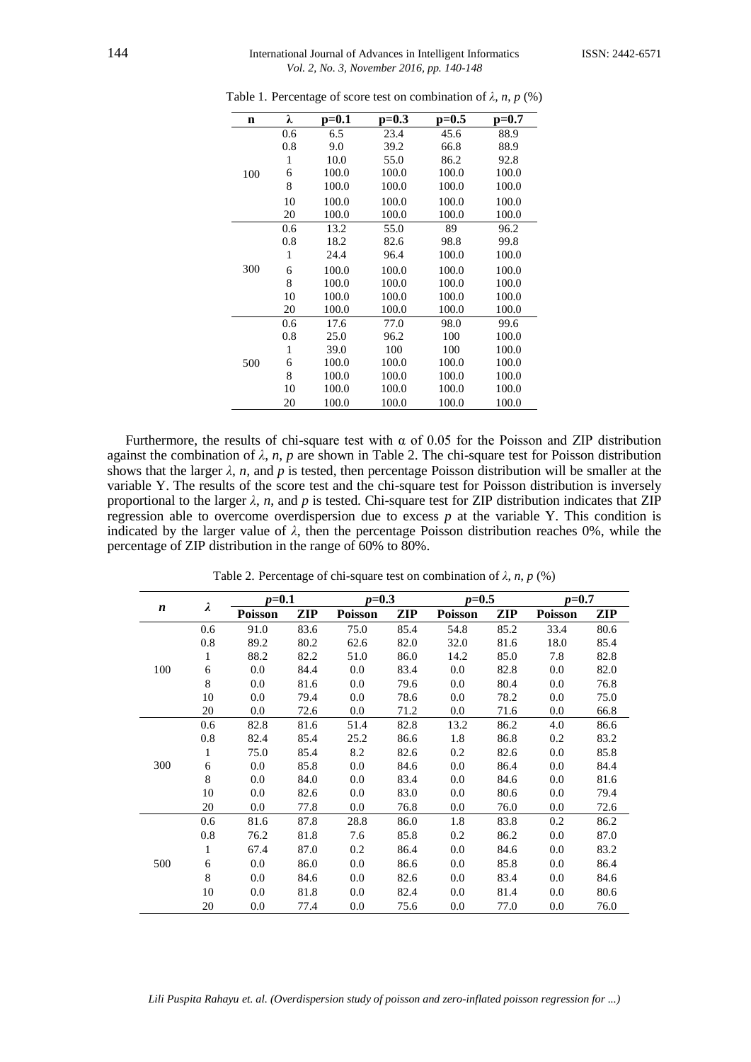#### 144 International Journal of Advances in Intelligent InformaticsISSN: 2442-6571 *Vol. 2, No. 3, November 2016, pp. 140-148*

| n   | λ   | p=0.1 | $p=0.3$ | p=0.5 | p=0.7 |
|-----|-----|-------|---------|-------|-------|
|     | 0.6 | 6.5   | 23.4    | 45.6  | 88.9  |
|     | 0.8 | 9.0   | 39.2    | 66.8  | 88.9  |
|     | 1   | 10.0  | 55.0    | 86.2  | 92.8  |
| 100 | 6   | 100.0 | 100.0   | 100.0 | 100.0 |
|     | 8   | 100.0 | 100.0   | 100.0 | 100.0 |
|     | 10  | 100.0 | 100.0   | 100.0 | 100.0 |
|     | 20  | 100.0 | 100.0   | 100.0 | 100.0 |
|     | 0.6 | 13.2  | 55.0    | 89    | 96.2  |
|     | 0.8 | 18.2  | 82.6    | 98.8  | 99.8  |
|     | 1   | 24.4  | 96.4    | 100.0 | 100.0 |
| 300 | 6   | 100.0 | 100.0   | 100.0 | 100.0 |
|     | 8   | 100.0 | 100.0   | 100.0 | 100.0 |
|     | 10  | 100.0 | 100.0   | 100.0 | 100.0 |
|     | 20  | 100.0 | 100.0   | 100.0 | 100.0 |
|     | 0.6 | 17.6  | 77.0    | 98.0  | 99.6  |
|     | 0.8 | 25.0  | 96.2    | 100   | 100.0 |
|     | 1   | 39.0  | 100     | 100   | 100.0 |
| 500 | 6   | 100.0 | 100.0   | 100.0 | 100.0 |
|     | 8   | 100.0 | 100.0   | 100.0 | 100.0 |
|     | 10  | 100.0 | 100.0   | 100.0 | 100.0 |
|     | 20  | 100.0 | 100.0   | 100.0 | 100.0 |

Table 1. Percentage of score test on combination of  $\lambda$ ,  $n$ ,  $p$  (%)

Furthermore, the results of chi-square test with  $\alpha$  of 0.05 for the Poisson and ZIP distribution against the combination of  $\lambda$ , *n*, *p* are shown in Table 2. The chi-square test for Poisson distribution shows that the larger  $\lambda$ , *n*, and *p* is tested, then percentage Poisson distribution will be smaller at the variable Y. The results of the score test and the chi-square test for Poisson distribution is inversely proportional to the larger  $\lambda$ , *n*, and *p* is tested. Chi-square test for ZIP distribution indicates that ZIP regression able to overcome overdispersion due to excess *p* at the variable Y. This condition is indicated by the larger value of *λ*, then the percentage Poisson distribution reaches 0%, while the percentage of ZIP distribution in the range of 60% to 80%.

|                  |              | $p = 0.1$      |      | $p=0.3$        |      | $p=0.5$        |      | $p=0.7$        |      |
|------------------|--------------|----------------|------|----------------|------|----------------|------|----------------|------|
| $\boldsymbol{n}$ | λ            | <b>Poisson</b> | ZIP  | <b>Poisson</b> | ZIP  | <b>Poisson</b> | ZIP  | <b>Poisson</b> | ZIP  |
|                  | 0.6          | 91.0           | 83.6 | 75.0           | 85.4 | 54.8           | 85.2 | 33.4           | 80.6 |
|                  | 0.8          | 89.2           | 80.2 | 62.6           | 82.0 | 32.0           | 81.6 | 18.0           | 85.4 |
|                  | $\mathbf{1}$ | 88.2           | 82.2 | 51.0           | 86.0 | 14.2           | 85.0 | 7.8            | 82.8 |
| 100              | 6            | 0.0            | 84.4 | 0.0            | 83.4 | 0.0            | 82.8 | 0.0            | 82.0 |
|                  | 8            | 0.0            | 81.6 | 0.0            | 79.6 | 0.0            | 80.4 | 0.0            | 76.8 |
|                  | 10           | 0.0            | 79.4 | 0.0            | 78.6 | 0.0            | 78.2 | 0.0            | 75.0 |
|                  | 20           | 0.0            | 72.6 | 0.0            | 71.2 | 0.0            | 71.6 | 0.0            | 66.8 |
|                  | 0.6          | 82.8           | 81.6 | 51.4           | 82.8 | 13.2           | 86.2 | 4.0            | 86.6 |
|                  | 0.8          | 82.4           | 85.4 | 25.2           | 86.6 | 1.8            | 86.8 | 0.2            | 83.2 |
|                  | $\mathbf{1}$ | 75.0           | 85.4 | 8.2            | 82.6 | 0.2            | 82.6 | 0.0            | 85.8 |
| 300              | 6            | 0.0            | 85.8 | 0.0            | 84.6 | 0.0            | 86.4 | 0.0            | 84.4 |
|                  | 8            | 0.0            | 84.0 | 0.0            | 83.4 | 0.0            | 84.6 | 0.0            | 81.6 |
|                  | 10           | 0.0            | 82.6 | 0.0            | 83.0 | 0.0            | 80.6 | 0.0            | 79.4 |
|                  | 20           | 0.0            | 77.8 | 0.0            | 76.8 | 0.0            | 76.0 | 0.0            | 72.6 |
|                  | 0.6          | 81.6           | 87.8 | 28.8           | 86.0 | 1.8            | 83.8 | 0.2            | 86.2 |
|                  | 0.8          | 76.2           | 81.8 | 7.6            | 85.8 | 0.2            | 86.2 | 0.0            | 87.0 |
|                  | $\mathbf{1}$ | 67.4           | 87.0 | 0.2            | 86.4 | 0.0            | 84.6 | 0.0            | 83.2 |
| 500              | 6            | 0.0            | 86.0 | 0.0            | 86.6 | 0.0            | 85.8 | 0.0            | 86.4 |
|                  | 8            | 0.0            | 84.6 | 0.0            | 82.6 | 0.0            | 83.4 | 0.0            | 84.6 |
|                  | 10           | 0.0            | 81.8 | 0.0            | 82.4 | 0.0            | 81.4 | 0.0            | 80.6 |
|                  | 20           | 0.0            | 77.4 | 0.0            | 75.6 | $0.0\,$        | 77.0 | 0.0            | 76.0 |

Table 2. Percentage of chi-square test on combination of  $\lambda$ ,  $n$ ,  $p$  (%)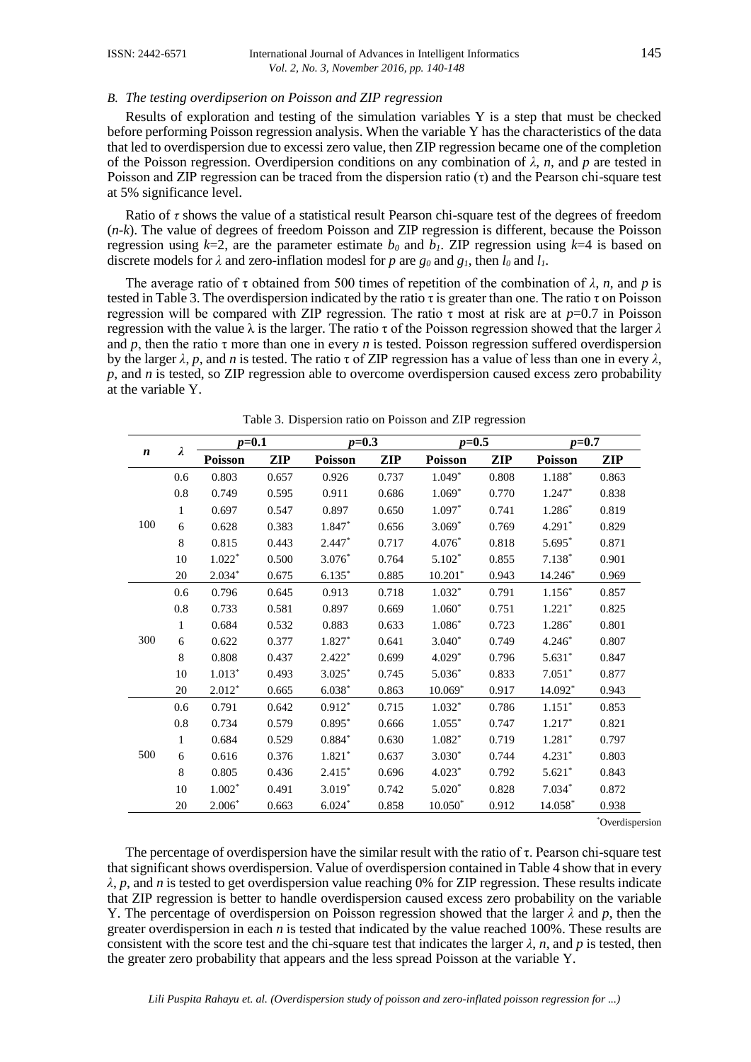#### *B. The testing overdipserion on Poisson and ZIP regression*

Results of exploration and testing of the simulation variables Y is a step that must be checked before performing Poisson regression analysis. When the variable Y has the characteristics of the data that led to overdispersion due to excessi zero value, then ZIP regression became one of the completion of the Poisson regression. Overdipersion conditions on any combination of *λ*, *n*, and *p* are tested in Poisson and ZIP regression can be traced from the dispersion ratio  $(\tau)$  and the Pearson chi-square test at 5% significance level.

Ratio of *τ* shows the value of a statistical result Pearson chi-square test of the degrees of freedom (*n-k*). The value of degrees of freedom Poisson and ZIP regression is different, because the Poisson regression using  $k=2$ , are the parameter estimate  $b_0$  and  $b_1$ . ZIP regression using  $k=4$  is based on discrete models for  $\lambda$  and zero-inflation modesl for *p* are  $g_0$  and  $g_1$ , then  $l_0$  and  $l_1$ .

The average ratio of  $\tau$  obtained from 500 times of repetition of the combination of  $\lambda$ , *n*, and *p* is tested in Table 3. The overdispersion indicated by the ratio  $\tau$  is greater than one. The ratio  $\tau$  on Poisson regression will be compared with ZIP regression. The ratio τ most at risk are at *p*=0.7 in Poisson regression with the value λ is the larger. The ratio τ of the Poisson regression showed that the larger *λ* and *p*, then the ratio  $\tau$  more than one in every *n* is tested. Poisson regression suffered overdispersion by the larger  $\lambda$ , p, and n is tested. The ratio  $\tau$  of ZIP regression has a value of less than one in every  $\lambda$ , *p*, and *n* is tested, so ZIP regression able to overcome overdispersion caused excess zero probability at the variable Y.

| $\boldsymbol{n}$ |              | $p = 0.1$      |       | $p=0.3$        |            | $p=0.5$        |       | $p = 0.7$      |            |
|------------------|--------------|----------------|-------|----------------|------------|----------------|-------|----------------|------------|
|                  | λ            | <b>Poisson</b> | ZIP   | <b>Poisson</b> | <b>ZIP</b> | <b>Poisson</b> | ZIP   | <b>Poisson</b> | <b>ZIP</b> |
|                  | 0.6          | 0.803          | 0.657 | 0.926          | 0.737      | $1.049*$       | 0.808 | $1.188^\ast$   | 0.863      |
|                  | 0.8          | 0.749          | 0.595 | 0.911          | 0.686      | $1.069*$       | 0.770 | 1.247*         | 0.838      |
|                  | $\mathbf{1}$ | 0.697          | 0.547 | 0.897          | 0.650      | $1.097*$       | 0.741 | $1.286*$       | 0.819      |
| 100              | 6            | 0.628          | 0.383 | $1.847*$       | 0.656      | $3.069*$       | 0.769 | $4.291*$       | 0.829      |
|                  | 8            | 0.815          | 0.443 | $2.447*$       | 0.717      | $4.076*$       | 0.818 | $5.695*$       | 0.871      |
|                  | 10           | $1.022*$       | 0.500 | $3.076*$       | 0.764      | $5.102*$       | 0.855 | $7.138*$       | 0.901      |
|                  | 20           | $2.034*$       | 0.675 | $6.135*$       | 0.885      | $10.201*$      | 0.943 | 14.246*        | 0.969      |
|                  | 0.6          | 0.796          | 0.645 | 0.913          | 0.718      | $1.032*$       | 0.791 | $1.156*$       | 0.857      |
|                  | 0.8          | 0.733          | 0.581 | 0.897          | 0.669      | $1.060*$       | 0.751 | $1.221*$       | 0.825      |
|                  | 1            | 0.684          | 0.532 | 0.883          | 0.633      | $1.086*$       | 0.723 | 1.286*         | 0.801      |
| 300              | 6            | 0.622          | 0.377 | $1.827*$       | 0.641      | $3.040*$       | 0.749 | $4.246*$       | 0.807      |
|                  | 8            | 0.808          | 0.437 | $2.422*$       | 0.699      | $4.029*$       | 0.796 | $5.631*$       | 0.847      |
|                  | 10           | $1.013*$       | 0.493 | $3.025*$       | 0.745      | $5.036*$       | 0.833 | $7.051*$       | 0.877      |
|                  | 20           | $2.012*$       | 0.665 | $6.038*$       | 0.863      | $10.069*$      | 0.917 | 14.092*        | 0.943      |
|                  | 0.6          | 0.791          | 0.642 | $0.912*$       | 0.715      | $1.032*$       | 0.786 | $1.151*$       | 0.853      |
|                  | 0.8          | 0.734          | 0.579 | $0.895*$       | 0.666      | $1.055*$       | 0.747 | $1.217*$       | 0.821      |
|                  | 1            | 0.684          | 0.529 | $0.884*$       | 0.630      | $1.082*$       | 0.719 | $1.281*$       | 0.797      |
| 500              | 6            | 0.616          | 0.376 | $1.821*$       | 0.637      | $3.030*$       | 0.744 | $4.231*$       | 0.803      |
|                  | 8            | 0.805          | 0.436 | $2.415*$       | 0.696      | $4.023*$       | 0.792 | $5.621*$       | 0.843      |
|                  | 10           | $1.002*$       | 0.491 | $3.019*$       | 0.742      | $5.020*$       | 0.828 | $7.034*$       | 0.872      |
|                  | 20           | $2.006*$       | 0.663 | $6.024*$       | 0.858      | $10.050*$      | 0.912 | 14.058*        | 0.938      |

Table 3. Dispersion ratio on Poisson and ZIP regression

\*Overdispersion

The percentage of overdispersion have the similar result with the ratio of  $\tau$ . Pearson chi-square test that significant shows overdispersion. Value of overdispersion contained in Table 4 show that in every *λ*, *p*, and *n* is tested to get overdispersion value reaching 0% for ZIP regression. These results indicate that ZIP regression is better to handle overdispersion caused excess zero probability on the variable Y. The percentage of overdispersion on Poisson regression showed that the larger *λ* and *p*, then the greater overdispersion in each *n* is tested that indicated by the value reached 100%. These results are consistent with the score test and the chi-square test that indicates the larger  $\lambda$ ,  $n$ , and  $p$  is tested, then the greater zero probability that appears and the less spread Poisson at the variable Y.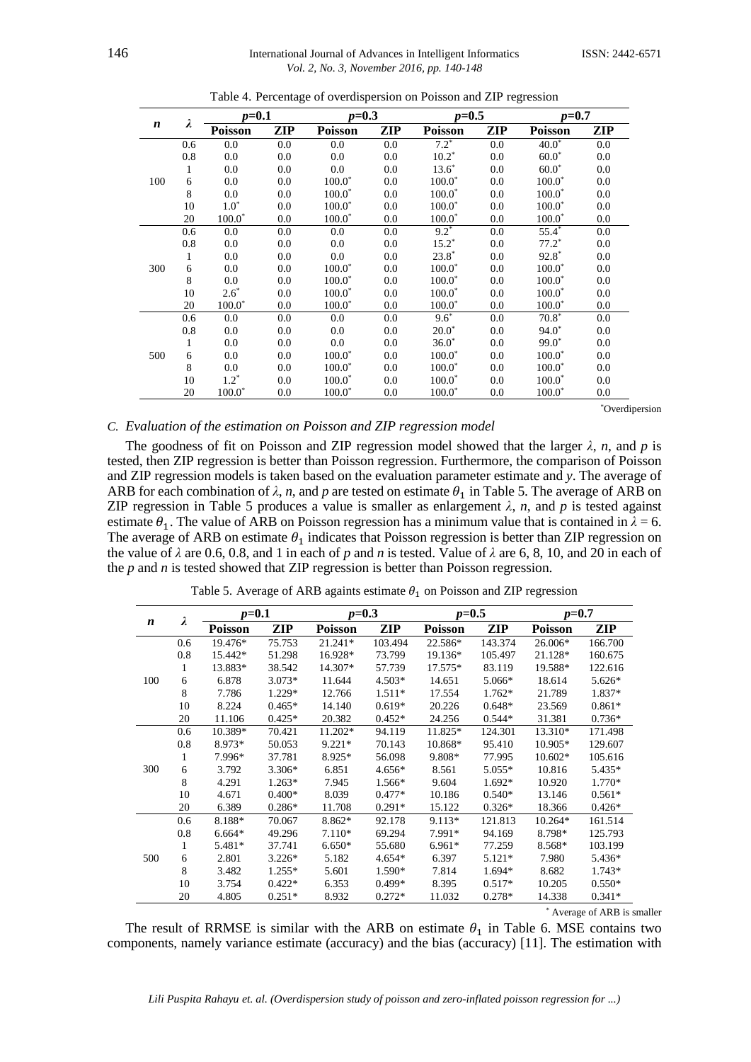| $\boldsymbol{n}$ |              | $p = 0.1$      |     | $p=0.3$        |     | $p=0.5$        |         | $p = 0.7$      |     |
|------------------|--------------|----------------|-----|----------------|-----|----------------|---------|----------------|-----|
|                  | λ            | <b>Poisson</b> | ZIP | <b>Poisson</b> | ZIP | <b>Poisson</b> | ZIP     | <b>Poisson</b> | ZIP |
|                  | 0.6          | 0.0            | 0.0 | 0.0            | 0.0 | $7.2^*$        | 0.0     | $40.0*$        | 0.0 |
|                  | 0.8          | 0.0            | 0.0 | 0.0            | 0.0 | $10.2*$        | 0.0     | $60.0*$        | 0.0 |
|                  | $\mathbf{1}$ | 0.0            | 0.0 | 0.0            | 0.0 | $13.6*$        | 0.0     | $60.0*$        | 0.0 |
| 100              | 6            | 0.0            | 0.0 | $100.0*$       | 0.0 | $100.0*$       | 0.0     | $100.0*$       | 0.0 |
|                  | 8            | 0.0            | 0.0 | $100.0*$       | 0.0 | $100.0*$       | 0.0     | $100.0*$       | 0.0 |
|                  | 10           | $1.0^*$        | 0.0 | $100.0*$       | 0.0 | $100.0*$       | 0.0     | $100.0*$       | 0.0 |
|                  | 20           | $100.0*$       | 0.0 | $100.0^*$      | 0.0 | $100.0*$       | 0.0     | $100.0*$       | 0.0 |
|                  | 0.6          | 0.0            | 0.0 | 0.0            | 0.0 | $9.2*$         | 0.0     | $55.4*$        | 0.0 |
|                  | $0.8\,$      | 0.0            | 0.0 | 0.0            | 0.0 | $15.2*$        | $0.0\,$ | $77.2*$        | 0.0 |
|                  | $\mathbf{1}$ | 0.0            | 0.0 | 0.0            | 0.0 | $23.8*$        | 0.0     | $92.8*$        | 0.0 |
| 300              | 6            | 0.0            | 0.0 | $100.0*$       | 0.0 | $100.0*$       | 0.0     | $100.0*$       | 0.0 |
|                  | 8            | 0.0            | 0.0 | $100.0^*$      | 0.0 | $100.0*$       | 0.0     | $100.0*$       | 0.0 |
|                  | 10           | $2.6*$         | 0.0 | $100.0^*$      | 0.0 | $100.0*$       | 0.0     | $100.0*$       | 0.0 |
|                  | 20           | $100.0*$       | 0.0 | $100.0^*$      | 0.0 | $100.0*$       | 0.0     | $100.0*$       | 0.0 |
|                  | 0.6          | 0.0            | 0.0 | 0.0            | 0.0 | $9.6*$         | 0.0     | $70.8*$        | 0.0 |
|                  | 0.8          | 0.0            | 0.0 | 0.0            | 0.0 | $20.0*$        | 0.0     | $94.0*$        | 0.0 |
|                  | 1            | 0.0            | 0.0 | 0.0            | 0.0 | $36.0*$        | 0.0     | $99.0*$        | 0.0 |
| 500              | 6            | 0.0            | 0.0 | $100.0*$       | 0.0 | $100.0*$       | 0.0     | $100.0*$       | 0.0 |
|                  | 8            | 0.0            | 0.0 | $100.0^*$      | 0.0 | $100.0*$       | 0.0     | $100.0*$       | 0.0 |
|                  | 10           | $1.2^*$        | 0.0 | $100.0*$       | 0.0 | $100.0*$       | 0.0     | $100.0*$       | 0.0 |
|                  | 20           | $100.0*$       | 0.0 | $100.0*$       | 0.0 | $100.0*$       | 0.0     | $100.0*$       | 0.0 |

Table 4. Percentage of overdispersion on Poisson and ZIP regression

\*Overdipersion

# *C. Evaluation of the estimation on Poisson and ZIP regression model*

The goodness of fit on Poisson and ZIP regression model showed that the larger  $\lambda$ , *n*, and *p* is tested, then ZIP regression is better than Poisson regression. Furthermore, the comparison of Poisson and ZIP regression models is taken based on the evaluation parameter estimate and *y*. The average of ARB for each combination of  $\lambda$ , *n*, and *p* are tested on estimate  $\theta_1$  in Table 5. The average of ARB on ZIP regression in Table 5 produces a value is smaller as enlargement  $\lambda$ ,  $n$ , and  $p$  is tested against estimate  $\theta_1$ . The value of ARB on Poisson regression has a minimum value that is contained in  $\lambda = 6$ . The average of ARB on estimate  $\theta_1$  indicates that Poisson regression is better than ZIP regression on the value of *λ* are 0.6, 0.8, and 1 in each of *p* and *n* is tested. Value of *λ* are 6, 8, 10, and 20 in each of the *p* and *n* is tested showed that ZIP regression is better than Poisson regression.

| Table 5. Average of ARB againts estimate $\theta_1$ on Poisson and ZIP regression |  |
|-----------------------------------------------------------------------------------|--|
|-----------------------------------------------------------------------------------|--|

| λ   |     | $p = 0.1$      |          |                | $p=0.3$  |                | $p=0.5$  |                | $p=0.7$  |  |
|-----|-----|----------------|----------|----------------|----------|----------------|----------|----------------|----------|--|
| n   |     | <b>Poisson</b> | ZIP      | <b>Poisson</b> | ZIP      | <b>Poisson</b> | ZIP      | <b>Poisson</b> | ZIP      |  |
|     | 0.6 | 19.476*        | 75.753   | $21.241*$      | 103.494  | 22.586*        | 143.374  | $26.006*$      | 166.700  |  |
|     | 0.8 | 15.442*        | 51.298   | 16.928*        | 73.799   | 19.136*        | 105.497  | 21.128*        | 160.675  |  |
|     | 1   | 13.883*        | 38.542   | 14.307*        | 57.739   | 17.575*        | 83.119   | 19.588*        | 122.616  |  |
| 100 | 6   | 6.878          | $3.073*$ | 11.644         | $4.503*$ | 14.651         | $5.066*$ | 18.614         | $5.626*$ |  |
|     | 8   | 7.786          | 1.229*   | 12.766         | $1.511*$ | 17.554         | $1.762*$ | 21.789         | 1.837*   |  |
|     | 10  | 8.224          | $0.465*$ | 14.140         | $0.619*$ | 20.226         | $0.648*$ | 23.569         | $0.861*$ |  |
|     | 20  | 11.106         | $0.425*$ | 20.382         | $0.452*$ | 24.256         | $0.544*$ | 31.381         | $0.736*$ |  |
|     | 0.6 | 10.389*        | 70.421   | 11.202*        | 94.119   | 11.825*        | 124.301  | 13.310*        | 171.498  |  |
|     | 0.8 | 8.973*         | 50.053   | $9.221*$       | 70.143   | 10.868*        | 95.410   | $10.905*$      | 129.607  |  |
|     | 1   | 7.996*         | 37.781   | 8.925*         | 56.098   | 9.808*         | 77.995   | $10.602*$      | 105.616  |  |
| 300 | 6   | 3.792          | $3.306*$ | 6.851          | $4.656*$ | 8.561          | $5.055*$ | 10.816         | 5.435*   |  |
|     | 8   | 4.291          | $1.263*$ | 7.945          | 1.566*   | 9.604          | 1.692*   | 10.920         | 1.770*   |  |
|     | 10  | 4.671          | $0.400*$ | 8.039          | $0.477*$ | 10.186         | $0.540*$ | 13.146         | $0.561*$ |  |
|     | 20  | 6.389          | $0.286*$ | 11.708         | $0.291*$ | 15.122         | $0.326*$ | 18.366         | $0.426*$ |  |
|     | 0.6 | 8.188*         | 70.067   | 8.862*         | 92.178   | $9.113*$       | 121.813  | $10.264*$      | 161.514  |  |
|     | 0.8 | $6.664*$       | 49.296   | $7.110*$       | 69.294   | 7.991*         | 94.169   | 8.798*         | 125.793  |  |
|     | 1   | 5.481*         | 37.741   | $6.650*$       | 55.680   | $6.961*$       | 77.259   | 8.568*         | 103.199  |  |
| 500 | 6   | 2.801          | $3.226*$ | 5.182          | $4.654*$ | 6.397          | $5.121*$ | 7.980          | 5.436*   |  |
|     | 8   | 3.482          | $1.255*$ | 5.601          | 1.590*   | 7.814          | 1.694*   | 8.682          | $1.743*$ |  |
|     | 10  | 3.754          | $0.422*$ | 6.353          | $0.499*$ | 8.395          | $0.517*$ | 10.205         | $0.550*$ |  |
|     | 20  | 4.805          | $0.251*$ | 8.932          | $0.272*$ | 11.032         | $0.278*$ | 14.338         | $0.341*$ |  |

\* Average of ARB is smaller

The result of RRMSE is similar with the ARB on estimate  $\theta_1$  in Table 6. MSE contains two components, namely variance estimate (accuracy) and the bias (accuracy) [11]. The estimation with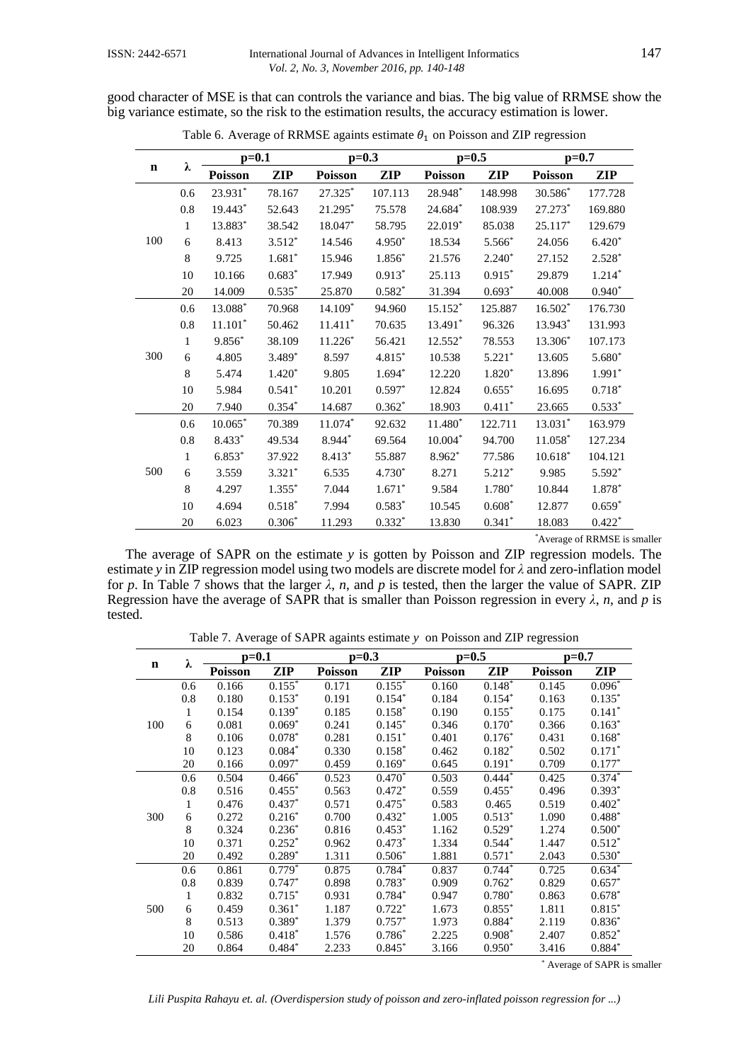good character of MSE is that can controls the variance and bias. The big value of RRMSE show the big variance estimate, so the risk to the estimation results, the accuracy estimation is lower.

| $\mathbf n$ |              | $p=0.1$        |            | $p=0.3$   |            | $p=0.5$   |            | $p=0.7$        |            |
|-------------|--------------|----------------|------------|-----------|------------|-----------|------------|----------------|------------|
|             | λ            | <b>Poisson</b> | <b>ZIP</b> | Poisson   | <b>ZIP</b> | Poisson   | <b>ZIP</b> | <b>Poisson</b> | <b>ZIP</b> |
|             | 0.6          | 23.931*        | 78.167     | 27.325*   | 107.113    | 28.948*   | 148.998    | 30.586*        | 177.728    |
|             | $0.8\,$      | 19.443*        | 52.643     | 21.295*   | 75.578     | 24.684*   | 108.939    | 27.273*        | 169.880    |
|             | 1            | 13.883*        | 38.542     | 18.047*   | 58.795     | 22.019*   | 85.038     | 25.117*        | 129.679    |
| 100         | 6            | 8.413          | $3.512*$   | 14.546    | 4.950*     | 18.534    | $5.566*$   | 24.056         | $6.420*$   |
|             | 8            | 9.725          | $1.681*$   | 15.946    | $1.856*$   | 21.576    | $2.240*$   | 27.152         | $2.528*$   |
|             | 10           | 10.166         | $0.683*$   | 17.949    | $0.913*$   | 25.113    | $0.915*$   | 29.879         | $1.214*$   |
|             | 20           | 14.009         | $0.535*$   | 25.870    | $0.582*$   | 31.394    | $0.693*$   | 40.008         | $0.940*$   |
|             | 0.6          | 13.088*        | 70.968     | $14.109*$ | 94.960     | $15.152*$ | 125.887    | $16.502*$      | 176.730    |
|             | 0.8          | $11.101*$      | 50.462     | $11.411*$ | 70.635     | 13.491*   | 96.326     | 13.943*        | 131.993    |
|             | 1            | $9.856*$       | 38.109     | $11.226*$ | 56.421     | 12.552*   | 78.553     | 13.306*        | 107.173    |
| 300         | 6            | 4.805          | 3.489*     | 8.597     | 4.815*     | 10.538    | $5.221*$   | 13.605         | $5.680*$   |
|             | $\,8\,$      | 5.474          | $1.420*$   | 9.805     | $1.694*$   | 12.220    | $1.820*$   | 13.896         | $1.991*$   |
|             | 10           | 5.984          | $0.541*$   | 10.201    | $0.597*$   | 12.824    | $0.655*$   | 16.695         | $0.718*$   |
|             | 20           | 7.940          | $0.354*$   | 14.687    | $0.362*$   | 18.903    | $0.411*$   | 23.665         | $0.533*$   |
|             | 0.6          | $10.065^\ast$  | 70.389     | $11.074*$ | 92.632     | 11.480*   | 122.711    | 13.031*        | 163.979    |
|             | 0.8          | $8.433*$       | 49.534     | 8.944*    | 69.564     | $10.004*$ | 94.700     | $11.058*$      | 127.234    |
|             | $\mathbf{1}$ | $6.853*$       | 37.922     | 8.413*    | 55.887     | $8.962*$  | 77.586     | $10.618*$      | 104.121    |
| 500         | 6            | 3.559          | $3.321*$   | 6.535     | 4.730*     | 8.271     | $5.212*$   | 9.985          | $5.592*$   |
|             | 8            | 4.297          | $1.355*$   | 7.044     | $1.671*$   | 9.584     | 1.780*     | 10.844         | $1.878*$   |
|             | 10           | 4.694          | $0.518*$   | 7.994     | $0.583*$   | 10.545    | $0.608*$   | 12.877         | $0.659*$   |
|             | 20           | 6.023          | $0.306*$   | 11.293    | $0.332*$   | 13.830    | $0.341*$   | 18.083         | $0.422*$   |

Table 6. Average of RRMSE againts estimate  $\theta_1$  on Poisson and ZIP regression

\*Average of RRMSE is smaller

The average of SAPR on the estimate *y* is gotten by Poisson and ZIP regression models. The estimate *y* in ZIP regression model using two models are discrete model for *λ* and zero-inflation model for *p*. In Table 7 shows that the larger  $\lambda$ , *n*, and *p* is tested, then the larger the value of SAPR. ZIP Regression have the average of SAPR that is smaller than Poisson regression in every  $\lambda$ , *n*, and *p* is tested.

Table 7. Average of SAPR againts estimate *y* on Poisson and ZIP regression

| $\mathbf n$ |     | $p=0.1$ |                      | $p=0.3$        |          | $p=0.5$        |             | $p=0.7$        |          |
|-------------|-----|---------|----------------------|----------------|----------|----------------|-------------|----------------|----------|
|             | λ   | Poisson | ZIP                  | <b>Poisson</b> | ZIP      | <b>Poisson</b> | <b>ZIP</b>  | <b>Poisson</b> | ZIP      |
|             | 0.6 | 0.166   | $0.15\overline{5}^*$ | 0.171          | $0.155*$ | 0.160          | $0.148*$    | 0.145          | $0.096*$ |
|             | 0.8 | 0.180   | $0.153*$             | 0.191          | $0.154*$ | 0.184          | $0.154*$    | 0.163          | $0.135*$ |
|             | 1   | 0.154   | $0.139*$             | 0.185          | $0.158*$ | 0.190          | $0.155*$    | 0.175          | $0.141*$ |
| 100         | 6   | 0.081   | $0.069*$             | 0.241          | $0.145*$ | 0.346          | $0.170*$    | 0.366          | $0.163*$ |
|             | 8   | 0.106   | $0.078*$             | 0.281          | $0.151*$ | 0.401          | $0.176*$    | 0.431          | $0.168*$ |
|             | 10  | 0.123   | $0.084*$             | 0.330          | $0.158*$ | 0.462          | $0.182*$    | 0.502          | $0.171*$ |
|             | 20  | 0.166   | $0.097*$             | 0.459          | $0.169*$ | 0.645          | $0.191*$    | 0.709          | $0.177*$ |
|             | 0.6 | 0.504   | $0.466*$             | 0.523          | $0.470*$ | 0.503          | $0.444^{*}$ | 0.425          | $0.374*$ |
|             | 0.8 | 0.516   | $0.455*$             | 0.563          | $0.472*$ | 0.559          | $0.455*$    | 0.496          | $0.393*$ |
|             | 1   | 0.476   | $0.437*$             | 0.571          | $0.475*$ | 0.583          | 0.465       | 0.519          | $0.402*$ |
| 300         | 6   | 0.272   | $0.216*$             | 0.700          | $0.432*$ | 1.005          | $0.513*$    | 1.090          | $0.488*$ |
|             | 8   | 0.324   | $0.236*$             | 0.816          | $0.453*$ | 1.162          | $0.529*$    | 1.274          | $0.500*$ |
|             | 10  | 0.371   | $0.252*$             | 0.962          | $0.473*$ | 1.334          | $0.544*$    | 1.447          | $0.512*$ |
|             | 20  | 0.492   | $0.289*$             | 1.311          | $0.506*$ | 1.881          | $0.571*$    | 2.043          | $0.530*$ |
|             | 0.6 | 0.861   | $0.779*$             | 0.875          | $0.784*$ | 0.837          | $0.744*$    | 0.725          | $0.634*$ |
|             | 0.8 | 0.839   | $0.747*$             | 0.898          | $0.783*$ | 0.909          | $0.762*$    | 0.829          | $0.657*$ |
|             | 1   | 0.832   | $0.715*$             | 0.931          | $0.784*$ | 0.947          | $0.780*$    | 0.863          | $0.678*$ |
| 500         | 6   | 0.459   | $0.361*$             | 1.187          | $0.722*$ | 1.673          | $0.855*$    | 1.811          | $0.815*$ |
|             | 8   | 0.513   | $0.389*$             | 1.379          | $0.757*$ | 1.973          | $0.884*$    | 2.119          | $0.836*$ |
|             | 10  | 0.586   | $0.418*$             | 1.576          | $0.786*$ | 2.225          | $0.908*$    | 2.407          | $0.852*$ |
|             | 20  | 0.864   | $0.484*$             | 2.233          | $0.845*$ | 3.166          | $0.950*$    | 3.416          | $0.884*$ |

\* Average of SAPR is smaller